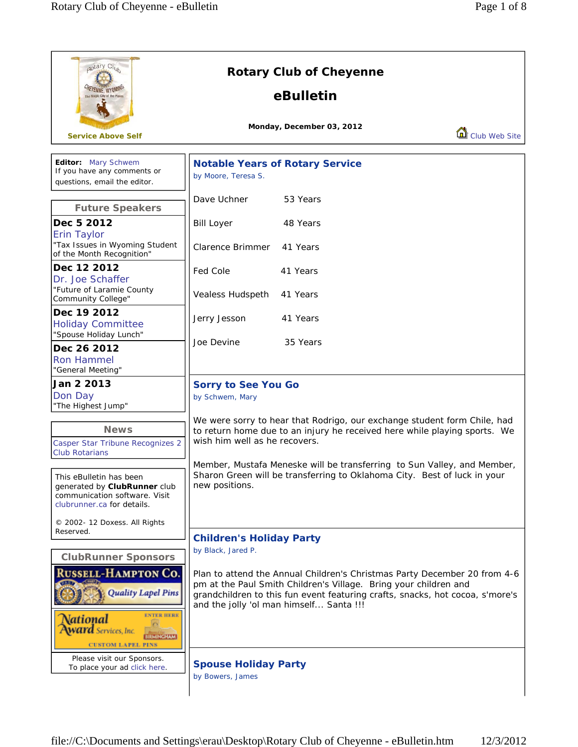| aotary Cl <sub>ub</sub><br><b>HEYENNE, WYOMNY</b><br>e Magic City of the Plains                                                                                            | <b>Rotary Club of Cheyenne</b><br>eBulletin                                                                                                                                                                                                                                                     |  |  |
|----------------------------------------------------------------------------------------------------------------------------------------------------------------------------|-------------------------------------------------------------------------------------------------------------------------------------------------------------------------------------------------------------------------------------------------------------------------------------------------|--|--|
| <b>Service Above Self</b>                                                                                                                                                  | Monday, December 03, 2012<br>Club Web Site                                                                                                                                                                                                                                                      |  |  |
| Editor: Mary Schwem<br>If you have any comments or<br>questions, email the editor.                                                                                         | <b>Notable Years of Rotary Service</b><br>by Moore, Teresa S.                                                                                                                                                                                                                                   |  |  |
| <b>Future Speakers</b>                                                                                                                                                     | Dave Uchner<br>53 Years                                                                                                                                                                                                                                                                         |  |  |
| Dec 5 2012<br>Erin Taylor                                                                                                                                                  | <b>Bill Loyer</b><br>48 Years                                                                                                                                                                                                                                                                   |  |  |
| "Tax Issues in Wyoming Student<br>of the Month Recognition"                                                                                                                | Clarence Brimmer<br>41 Years                                                                                                                                                                                                                                                                    |  |  |
| Dec 12 2012<br>Dr. Joe Schaffer<br>"Future of Laramie County                                                                                                               | Fed Cole<br>41 Years<br>Vealess Hudspeth<br>41 Years                                                                                                                                                                                                                                            |  |  |
| Community College"<br>Dec 19 2012<br><b>Holiday Committee</b><br>"Spouse Holiday Lunch"                                                                                    | Jerry Jesson<br>41 Years                                                                                                                                                                                                                                                                        |  |  |
| Dec 26 2012<br><b>Ron Hammel</b><br>"General Meeting"                                                                                                                      | Joe Devine<br>35 Years                                                                                                                                                                                                                                                                          |  |  |
| Jan 2 2013<br>Don Day<br>"The Highest Jump"                                                                                                                                | <b>Sorry to See You Go</b><br>by Schwem, Mary                                                                                                                                                                                                                                                   |  |  |
| <b>News</b><br>Casper Star Tribune Recognizes 2                                                                                                                            | We were sorry to hear that Rodrigo, our exchange student form Chile, had<br>to return home due to an injury he received here while playing sports. We<br>wish him well as he recovers.                                                                                                          |  |  |
| <b>Club Rotarians</b><br>This eBulletin has been<br>generated by ClubRunner club<br>communication software. Visit<br>clubrunner.ca for details.                            | Member, Mustafa Meneske will be transferring to Sun Valley, and Member,<br>Sharon Green will be transferring to Oklahoma City. Best of luck in your<br>new positions.                                                                                                                           |  |  |
| © 2002- 12 Doxess. All Rights<br>Reserved.                                                                                                                                 | <b>Children's Holiday Party</b>                                                                                                                                                                                                                                                                 |  |  |
| <b>ClubRunner Sponsors</b><br><b>RUSSELL-HAMPTON CO.</b><br>Quality Lapel Pins<br><b>ENTER HERE</b><br>National<br><b>Award</b> Services, Inc.<br><b>CUSTOM LAPEL PINS</b> | by Black, Jared P.<br>Plan to attend the Annual Children's Christmas Party December 20 from 4-6<br>pm at the Paul Smith Children's Village. Bring your children and<br>grandchildren to this fun event featuring crafts, snacks, hot cocoa, s'more's<br>and the jolly 'ol man himself Santa !!! |  |  |
| Please visit our Sponsors.<br>To place your ad click here.                                                                                                                 | <b>Spouse Holiday Party</b><br>by Bowers, James                                                                                                                                                                                                                                                 |  |  |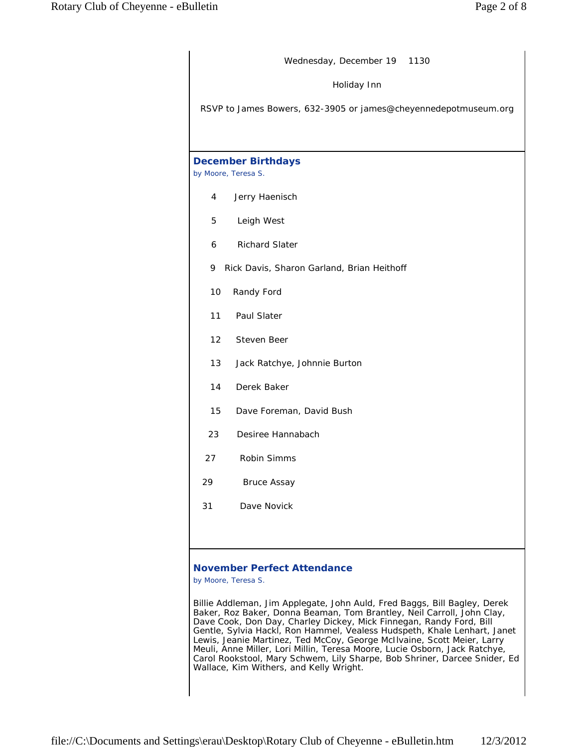| Wednesday, December 19 1130                                     |  |  |  |  |
|-----------------------------------------------------------------|--|--|--|--|
| Holiday Inn                                                     |  |  |  |  |
| RSVP to James Bowers, 632-3905 or james@cheyennedepotmuseum.org |  |  |  |  |
|                                                                 |  |  |  |  |
| <b>December Birthdays</b><br>by Moore, Teresa S.                |  |  |  |  |
| 4<br>Jerry Haenisch                                             |  |  |  |  |
| Leigh West<br>5                                                 |  |  |  |  |
| <b>Richard Slater</b><br>6                                      |  |  |  |  |
| 9<br>Rick Davis, Sharon Garland, Brian Heithoff                 |  |  |  |  |
| 10<br>Randy Ford                                                |  |  |  |  |
| 11<br>Paul Slater                                               |  |  |  |  |
| $12 \overline{ }$<br>Steven Beer                                |  |  |  |  |
| 13<br>Jack Ratchye, Johnnie Burton                              |  |  |  |  |
| 14<br>Derek Baker                                               |  |  |  |  |
| 15<br>Dave Foreman, David Bush                                  |  |  |  |  |
| Desiree Hannabach<br>23                                         |  |  |  |  |
| <b>Robin Simms</b><br>27                                        |  |  |  |  |
| 29<br><b>Bruce Assay</b>                                        |  |  |  |  |
| Dave Novick<br>31                                               |  |  |  |  |
|                                                                 |  |  |  |  |
| <b>November Perfect Attendance</b>                              |  |  |  |  |

*by Moore, Teresa S.*

Billie Addleman, Jim Applegate, John Auld, Fred Baggs, Bill Bagley, Derek Baker, Roz Baker, Donna Beaman, Tom Brantley, Neil Carroll, John Clay, Dave Cook, Don Day, Charley Dickey, Mick Finnegan, Randy Ford, Bill Gentle, Sylvia Hackl, Ron Hammel, Vealess Hudspeth, Khale Lenhart, Janet Lewis, Jeanie Martinez, Ted McCoy, George McIlvaine, Scott Meier, Larry Meuli, Anne Miller, Lori Millin, Teresa Moore, Lucie Osborn, Jack Ratchye, Carol Rookstool, Mary Schwem, Lily Sharpe, Bob Shriner, Darcee Snider, Ed Wallace, Kim Withers, and Kelly Wright.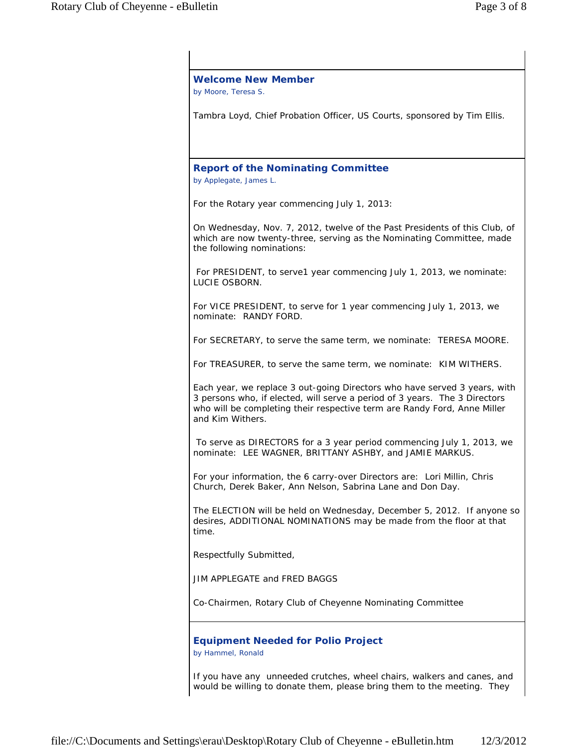| Tambra Loyd, Chief Probation Officer, US Courts, sponsored by Tim Ellis.<br><b>Report of the Nominating Committee</b><br>by Applegate, James L.<br>For the Rotary year commencing July 1, 2013:<br>On Wednesday, Nov. 7, 2012, twelve of the Past Presidents of this Club, of<br>which are now twenty-three, serving as the Nominating Committee, made<br>the following nominations:<br>For PRESIDENT, to serve1 year commencing July 1, 2013, we nominate:<br>LUCIE OSBORN.<br>For VICE PRESIDENT, to serve for 1 year commencing July 1, 2013, we<br>nominate: RANDY FORD. |  |
|------------------------------------------------------------------------------------------------------------------------------------------------------------------------------------------------------------------------------------------------------------------------------------------------------------------------------------------------------------------------------------------------------------------------------------------------------------------------------------------------------------------------------------------------------------------------------|--|
|                                                                                                                                                                                                                                                                                                                                                                                                                                                                                                                                                                              |  |
|                                                                                                                                                                                                                                                                                                                                                                                                                                                                                                                                                                              |  |
|                                                                                                                                                                                                                                                                                                                                                                                                                                                                                                                                                                              |  |
|                                                                                                                                                                                                                                                                                                                                                                                                                                                                                                                                                                              |  |
|                                                                                                                                                                                                                                                                                                                                                                                                                                                                                                                                                                              |  |
|                                                                                                                                                                                                                                                                                                                                                                                                                                                                                                                                                                              |  |
| For SECRETARY, to serve the same term, we nominate: TERESA MOORE.                                                                                                                                                                                                                                                                                                                                                                                                                                                                                                            |  |
| For TREASURER, to serve the same term, we nominate: KIM WITHERS.                                                                                                                                                                                                                                                                                                                                                                                                                                                                                                             |  |
| Each year, we replace 3 out-going Directors who have served 3 years, with<br>3 persons who, if elected, will serve a period of 3 years. The 3 Directors<br>who will be completing their respective term are Randy Ford, Anne Miller<br>and Kim Withers.                                                                                                                                                                                                                                                                                                                      |  |
| To serve as DIRECTORS for a 3 year period commencing July 1, 2013, we<br>nominate: LEE WAGNER, BRITTANY ASHBY, and JAMIE MARKUS.                                                                                                                                                                                                                                                                                                                                                                                                                                             |  |
| For your information, the 6 carry-over Directors are: Lori Millin, Chris<br>Church, Derek Baker, Ann Nelson, Sabrina Lane and Don Day.                                                                                                                                                                                                                                                                                                                                                                                                                                       |  |
| The ELECTION will be held on Wednesday, December 5, 2012. If anyone so<br>desires, ADDITIONAL NOMINATIONS may be made from the floor at that<br>time.                                                                                                                                                                                                                                                                                                                                                                                                                        |  |
| Respectfully Submitted,                                                                                                                                                                                                                                                                                                                                                                                                                                                                                                                                                      |  |
| JIM APPLEGATE and FRED BAGGS                                                                                                                                                                                                                                                                                                                                                                                                                                                                                                                                                 |  |
| Co-Chairmen, Rotary Club of Cheyenne Nominating Committee                                                                                                                                                                                                                                                                                                                                                                                                                                                                                                                    |  |
| <b>Equipment Needed for Polio Project</b><br>by Hammel, Ronald                                                                                                                                                                                                                                                                                                                                                                                                                                                                                                               |  |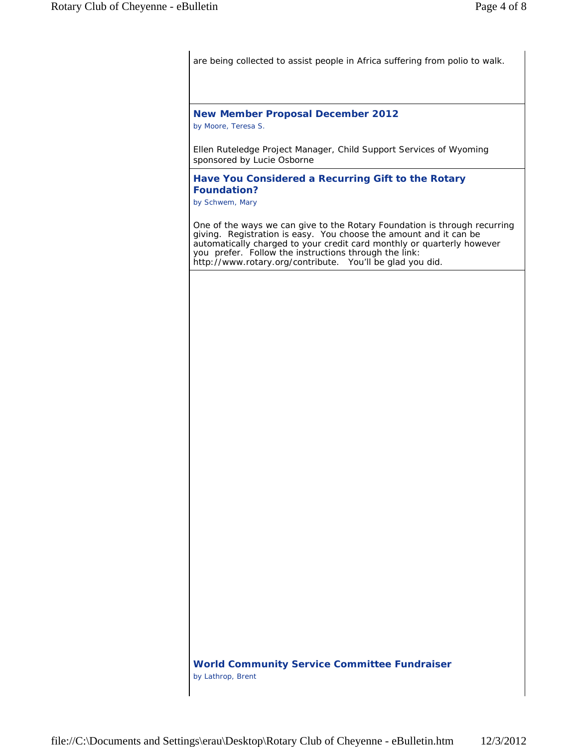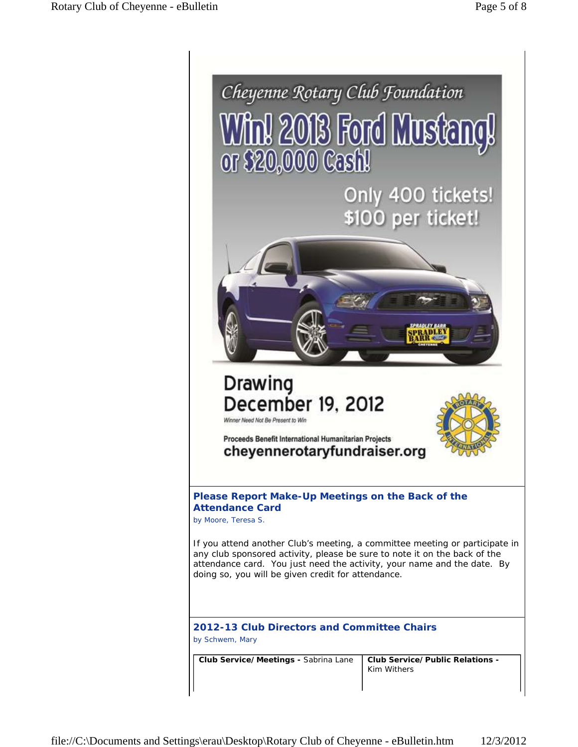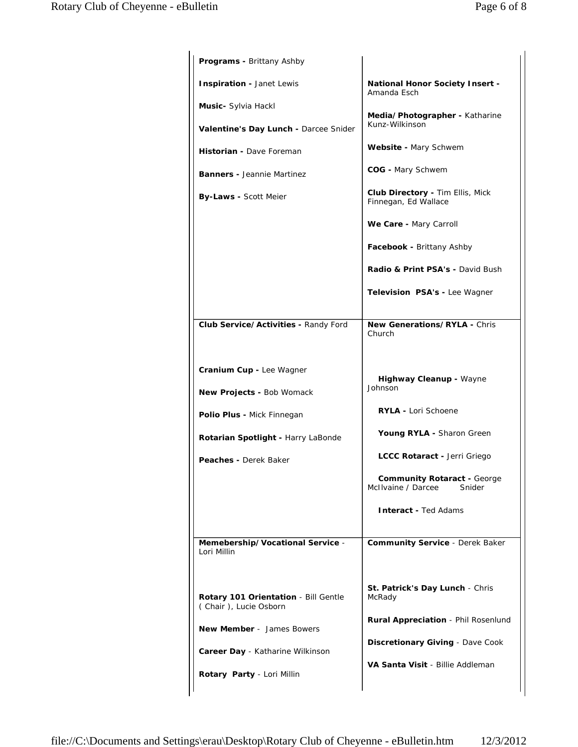| <b>Programs - Brittany Ashby</b>                                                                                                                                                           |                                                                                                                                                                                                                                                                                                                                                        |
|--------------------------------------------------------------------------------------------------------------------------------------------------------------------------------------------|--------------------------------------------------------------------------------------------------------------------------------------------------------------------------------------------------------------------------------------------------------------------------------------------------------------------------------------------------------|
| Inspiration - Janet Lewis<br>Music- Sylvia Hackl<br>Valentine's Day Lunch - Darcee Snider<br>Historian - Dave Foreman<br><b>Banners - Jeannie Martinez</b><br><b>By-Laws - Scott Meier</b> | <b>National Honor Society Insert -</b><br>Amanda Esch<br>Media/Photographer - Katharine<br>Kunz-Wilkinson<br>Website - Mary Schwem<br>COG - Mary Schwem<br><b>Club Directory - Tim Ellis, Mick</b><br>Finnegan, Ed Wallace<br>We Care - Mary Carroll<br>Facebook - Brittany Ashby<br>Radio & Print PSA's - David Bush<br>Television PSA's - Lee Wagner |
| Club Service/Activities - Randy Ford                                                                                                                                                       | New Generations/RYLA - Chris<br>Church                                                                                                                                                                                                                                                                                                                 |
| <b>Cranium Cup - Lee Wagner</b><br><b>New Projects - Bob Womack</b><br>Polio Plus - Mick Finnegan<br>Rotarian Spotlight - Harry LaBonde<br><b>Peaches -</b> Derek Baker                    | Highway Cleanup - Wayne<br>Johnson<br><b>RYLA - Lori Schoene</b><br>Young RYLA - Sharon Green<br>LCCC Rotaract - Jerri Griego<br><b>Community Rotaract - George</b><br>McIlvaine / Darcee<br>Snider                                                                                                                                                    |
| Memebership/Vocational Service -<br>Lori Millin                                                                                                                                            | <b>Interact - Ted Adams</b><br><b>Community Service - Derek Baker</b>                                                                                                                                                                                                                                                                                  |
| Rotary 101 Orientation - Bill Gentle<br>(Chair), Lucie Osborn<br><b>New Member</b> - James Bowers<br>Career Day - Katharine Wilkinson<br>Rotary Party - Lori Millin                        | St. Patrick's Day Lunch - Chris<br>McRady<br><b>Rural Appreciation</b> - Phil Rosenlund<br>Discretionary Giving - Dave Cook<br>VA Santa Visit - Billie Addleman                                                                                                                                                                                        |